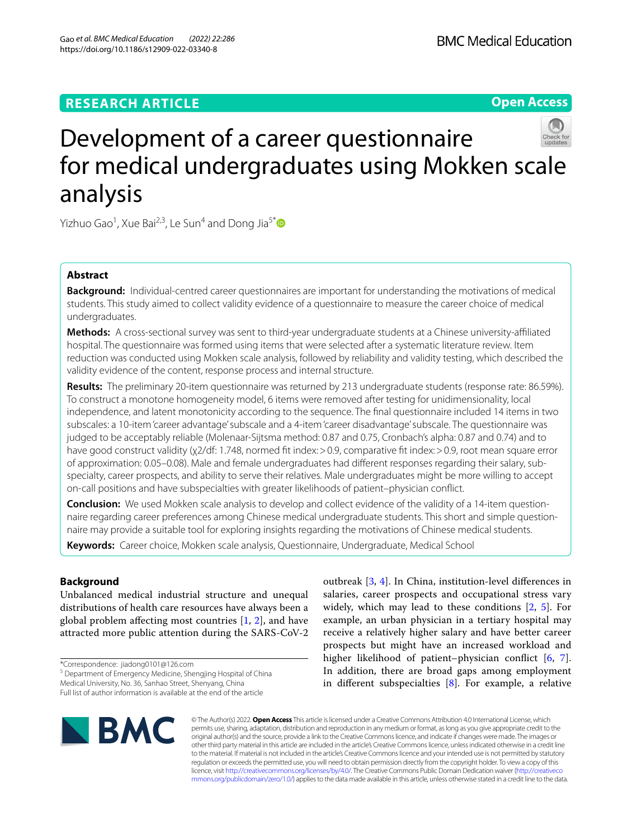Gao *et al. BMC Medical Education (2022) 22:286*  https://doi.org/10.1186/s12909-022-03340-8

## **Open Access**



# Development of a career questionnaire for medical undergraduates using Mokken scale analysis

Yizhuo Gao<sup>1</sup>, Xue Bai<sup>2,3</sup>, Le Sun<sup>4</sup> and Dong Jia<sup>5[\\*](http://orcid.org/0000-0002-2361-0739)</sup>

## **Abstract**

**Background:** Individual-centred career questionnaires are important for understanding the motivations of medical students. This study aimed to collect validity evidence of a questionnaire to measure the career choice of medical undergraduates.

**Methods:** A cross-sectional survey was sent to third-year undergraduate students at a Chinese university-afliated hospital. The questionnaire was formed using items that were selected after a systematic literature review. Item reduction was conducted using Mokken scale analysis, followed by reliability and validity testing, which described the validity evidence of the content, response process and internal structure.

**Results:** The preliminary 20-item questionnaire was returned by 213 undergraduate students (response rate: 86.59%). To construct a monotone homogeneity model, 6 items were removed after testing for unidimensionality, local independence, and latent monotonicity according to the sequence. The fnal questionnaire included 14 items in two subscales: a 10-item 'career advantage' subscale and a 4-item 'career disadvantage' subscale. The questionnaire was judged to be acceptably reliable (Molenaar-Sijtsma method: 0.87 and 0.75, Cronbach's alpha: 0.87 and 0.74) and to have good construct validity (χ2/df: 1.748, normed fit index: > 0.9, comparative fit index: > 0.9, root mean square error of approximation: 0.05–0.08). Male and female undergraduates had diferent responses regarding their salary, subspecialty, career prospects, and ability to serve their relatives. Male undergraduates might be more willing to accept on-call positions and have subspecialties with greater likelihoods of patient–physician confict.

**Conclusion:** We used Mokken scale analysis to develop and collect evidence of the validity of a 14-item questionnaire regarding career preferences among Chinese medical undergraduate students. This short and simple questionnaire may provide a suitable tool for exploring insights regarding the motivations of Chinese medical students.

**Keywords:** Career choice, Mokken scale analysis, Questionnaire, Undergraduate, Medical School

## **Background**

Unbalanced medical industrial structure and unequal distributions of health care resources have always been a global problem affecting most countries  $[1, 2]$  $[1, 2]$  $[1, 2]$  $[1, 2]$ , and have attracted more public attention during the SARS-CoV-2

\*Correspondence: jiadong0101@126.com

<sup>5</sup> Department of Emergency Medicine, Shengjing Hospital of China

Full list of author information is available at the end of the article

outbreak [[3,](#page-6-2) [4\]](#page-6-3). In China, institution-level diferences in salaries, career prospects and occupational stress vary widely, which may lead to these conditions [[2,](#page-6-1) [5](#page-6-4)]. For example, an urban physician in a tertiary hospital may receive a relatively higher salary and have better career prospects but might have an increased workload and higher likelihood of patient–physician conflict [[6,](#page-6-5) [7](#page-6-6)]. In addition, there are broad gaps among employment in diferent subspecialties [\[8](#page-6-7)]. For example, a relative



© The Author(s) 2022. **Open Access** This article is licensed under a Creative Commons Attribution 4.0 International License, which permits use, sharing, adaptation, distribution and reproduction in any medium or format, as long as you give appropriate credit to the original author(s) and the source, provide a link to the Creative Commons licence, and indicate if changes were made. The images or other third party material in this article are included in the article's Creative Commons licence, unless indicated otherwise in a credit line to the material. If material is not included in the article's Creative Commons licence and your intended use is not permitted by statutory regulation or exceeds the permitted use, you will need to obtain permission directly from the copyright holder. To view a copy of this licence, visit [http://creativecommons.org/licenses/by/4.0/.](http://creativecommons.org/licenses/by/4.0/) The Creative Commons Public Domain Dedication waiver ([http://creativeco](http://creativecommons.org/publicdomain/zero/1.0/) [mmons.org/publicdomain/zero/1.0/](http://creativecommons.org/publicdomain/zero/1.0/)) applies to the data made available in this article, unless otherwise stated in a credit line to the data.

Medical University, No. 36, Sanhao Street, Shenyang, China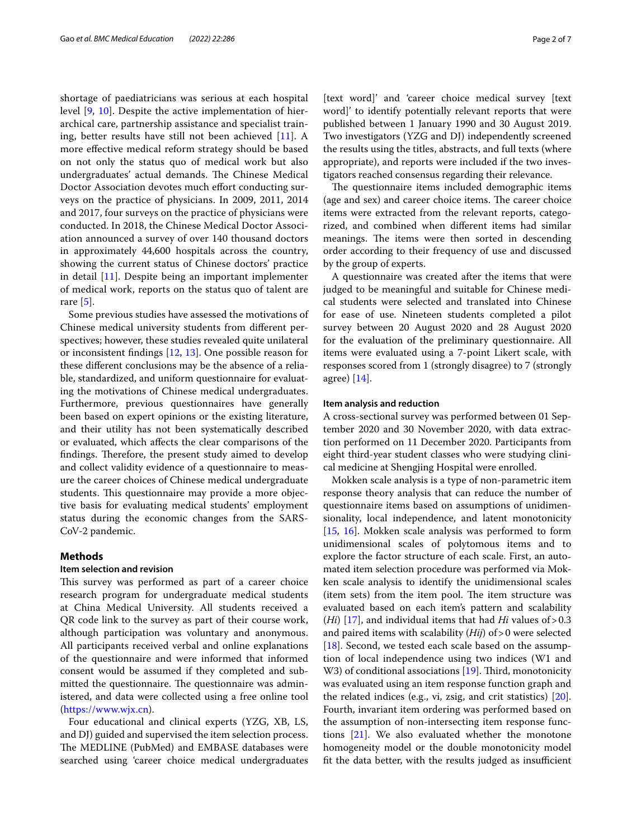shortage of paediatricians was serious at each hospital level [\[9](#page-6-8), [10\]](#page-6-9). Despite the active implementation of hierarchical care, partnership assistance and specialist training, better results have still not been achieved [\[11](#page-6-10)]. A more efective medical reform strategy should be based on not only the status quo of medical work but also undergraduates' actual demands. The Chinese Medical Doctor Association devotes much effort conducting surveys on the practice of physicians. In 2009, 2011, 2014 and 2017, four surveys on the practice of physicians were conducted. In 2018, the Chinese Medical Doctor Association announced a survey of over 140 thousand doctors in approximately 44,600 hospitals across the country, showing the current status of Chinese doctors' practice in detail [\[11](#page-6-10)]. Despite being an important implementer of medical work, reports on the status quo of talent are rare [[5\]](#page-6-4).

Some previous studies have assessed the motivations of Chinese medical university students from diferent perspectives; however, these studies revealed quite unilateral or inconsistent fndings [[12](#page-6-11), [13](#page-6-12)]. One possible reason for these diferent conclusions may be the absence of a reliable, standardized, and uniform questionnaire for evaluating the motivations of Chinese medical undergraduates. Furthermore, previous questionnaires have generally been based on expert opinions or the existing literature, and their utility has not been systematically described or evaluated, which afects the clear comparisons of the findings. Therefore, the present study aimed to develop and collect validity evidence of a questionnaire to measure the career choices of Chinese medical undergraduate students. This questionnaire may provide a more objective basis for evaluating medical students' employment status during the economic changes from the SARS-CoV-2 pandemic.

#### **Methods**

## **Item selection and revision**

This survey was performed as part of a career choice research program for undergraduate medical students at China Medical University. All students received a QR code link to the survey as part of their course work, although participation was voluntary and anonymous. All participants received verbal and online explanations of the questionnaire and were informed that informed consent would be assumed if they completed and submitted the questionnaire. The questionnaire was administered, and data were collected using a free online tool (<https://www.wjx.cn>).

Four educational and clinical experts (YZG, XB, LS, and DJ) guided and supervised the item selection process. The MEDLINE (PubMed) and EMBASE databases were searched using 'career choice medical undergraduates

[text word]' and 'career choice medical survey [text word]' to identify potentially relevant reports that were published between 1 January 1990 and 30 August 2019. Two investigators (YZG and DJ) independently screened the results using the titles, abstracts, and full texts (where appropriate), and reports were included if the two investigators reached consensus regarding their relevance.

The questionnaire items included demographic items (age and sex) and career choice items. The career choice items were extracted from the relevant reports, categorized, and combined when diferent items had similar meanings. The items were then sorted in descending order according to their frequency of use and discussed by the group of experts.

A questionnaire was created after the items that were judged to be meaningful and suitable for Chinese medical students were selected and translated into Chinese for ease of use. Nineteen students completed a pilot survey between 20 August 2020 and 28 August 2020 for the evaluation of the preliminary questionnaire. All items were evaluated using a 7-point Likert scale, with responses scored from 1 (strongly disagree) to 7 (strongly agree) [\[14](#page-6-13)].

## **Item analysis and reduction**

A cross-sectional survey was performed between 01 September 2020 and 30 November 2020, with data extraction performed on 11 December 2020. Participants from eight third-year student classes who were studying clinical medicine at Shengjing Hospital were enrolled.

Mokken scale analysis is a type of non-parametric item response theory analysis that can reduce the number of questionnaire items based on assumptions of unidimensionality, local independence, and latent monotonicity [[15,](#page-6-14) [16\]](#page-6-15). Mokken scale analysis was performed to form unidimensional scales of polytomous items and to explore the factor structure of each scale. First, an automated item selection procedure was performed via Mokken scale analysis to identify the unidimensional scales (item sets) from the item pool. The item structure was evaluated based on each item's pattern and scalability (*Hi*) [\[17](#page-6-16)], and individual items that had *Hi* values of  $> 0.3$ and paired items with scalability (*Hij*) of>0 were selected [ $18$ ]. Second, we tested each scale based on the assumption of local independence using two indices (W1 and W3) of conditional associations [[19\]](#page-6-18). Third, monotonicity was evaluated using an item response function graph and the related indices (e.g., vi, zsig, and crit statistics) [\[20](#page-6-19)]. Fourth, invariant item ordering was performed based on the assumption of non-intersecting item response functions [[21](#page-6-20)]. We also evaluated whether the monotone homogeneity model or the double monotonicity model fit the data better, with the results judged as insufficient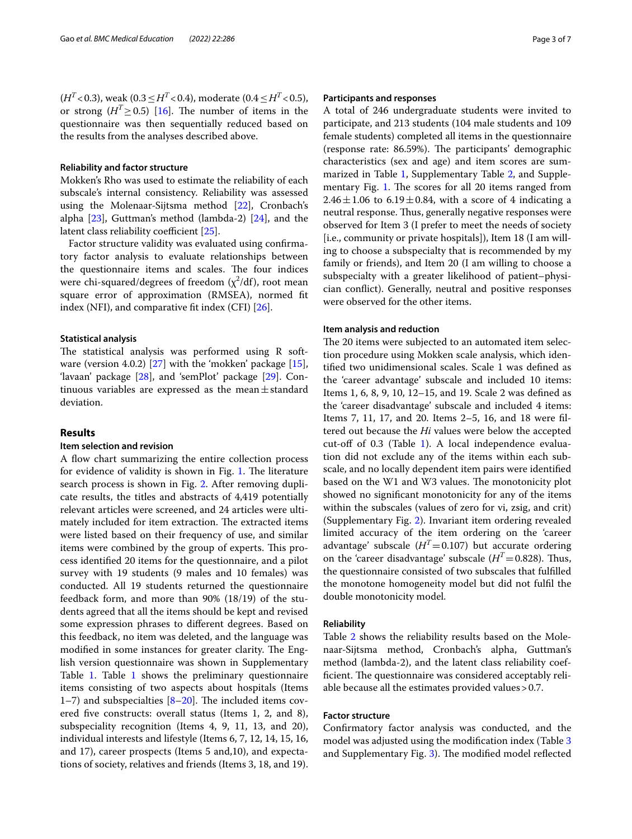$(H^T<0.3)$ , weak (0.3 ≤ *H*<sup>T</sup> < 0.4), moderate (0.4 ≤ *H*<sup>T</sup> < 0.5), or strong  $(H^T > 0.5)$  [[16](#page-6-15)]. The number of items in the questionnaire was then sequentially reduced based on the results from the analyses described above.

## **Reliability and factor structure**

Mokken's Rho was used to estimate the reliability of each subscale's internal consistency. Reliability was assessed using the Molenaar-Sijtsma method [[22\]](#page-6-21), Cronbach's alpha [[23\]](#page-6-22), Guttman's method (lambda-2) [\[24](#page-6-23)], and the latent class reliability coefficient  $[25]$  $[25]$ .

Factor structure validity was evaluated using confrmatory factor analysis to evaluate relationships between the questionnaire items and scales. The four indices were chi-squared/degrees of freedom ( $\chi^2$ /df), root mean square error of approximation (RMSEA), normed ft index (NFI), and comparative ft index (CFI) [[26\]](#page-6-25).

#### **Statistical analysis**

The statistical analysis was performed using R software (version 4.0.2) [[27\]](#page-6-26) with the 'mokken' package [\[15](#page-6-14)], 'lavaan' package [[28](#page-6-27)], and 'semPlot' package [\[29](#page-6-28)]. Continuous variables are expressed as the mean $\pm$ standard deviation.

#### **Results**

#### **Item selection and revision**

A flow chart summarizing the entire collection process for evidence of validity is shown in Fig. [1.](#page-3-0) The literature search process is shown in Fig. [2.](#page-4-0) After removing duplicate results, the titles and abstracts of 4,419 potentially relevant articles were screened, and 24 articles were ultimately included for item extraction. The extracted items were listed based on their frequency of use, and similar items were combined by the group of experts. This process identifed 20 items for the questionnaire, and a pilot survey with 19 students (9 males and 10 females) was conducted. All 19 students returned the questionnaire feedback form, and more than 90% (18/19) of the students agreed that all the items should be kept and revised some expression phrases to diferent degrees. Based on this feedback, no item was deleted, and the language was modified in some instances for greater clarity. The English version questionnaire was shown in Supplementary Table [1.](#page-5-0) Table [1](#page-4-1) shows the preliminary questionnaire items consisting of two aspects about hospitals (Items 1–7) and subspecialties  $[8-20]$  $[8-20]$ . The included items covered fve constructs: overall status (Items 1, 2, and 8), subspeciality recognition (Items 4, 9, 11, 13, and 20), individual interests and lifestyle (Items 6, 7, 12, 14, 15, 16, and 17), career prospects (Items 5 and,10), and expectations of society, relatives and friends (Items 3, 18, and 19).

#### **Participants and responses**

A total of 246 undergraduate students were invited to participate, and 213 students (104 male students and 109 female students) completed all items in the questionnaire (response rate: 86.59%). The participants' demographic characteristics (sex and age) and item scores are summarized in Table [1,](#page-4-1) Supplementary Table [2,](#page-5-1) and Supple-mentary Fig. [1.](#page-5-2) The scores for all 20 items ranged from  $2.46 \pm 1.06$  to 6.19 $\pm$ 0.84, with a score of 4 indicating a neutral response. Thus, generally negative responses were observed for Item 3 (I prefer to meet the needs of society [i.e., community or private hospitals]), Item 18 (I am willing to choose a subspecialty that is recommended by my family or friends), and Item 20 (I am willing to choose a subspecialty with a greater likelihood of patient–physician confict). Generally, neutral and positive responses were observed for the other items.

#### **Item analysis and reduction**

The 20 items were subjected to an automated item selection procedure using Mokken scale analysis, which identifed two unidimensional scales. Scale 1 was defned as the 'career advantage' subscale and included 10 items: Items 1, 6, 8, 9, 10, 12–15, and 19. Scale 2 was defned as the 'career disadvantage' subscale and included 4 items: Items 7, 11, 17, and 20. Items 2–5, 16, and 18 were fltered out because the *Hi* values were below the accepted cut-off of 0.3 (Table [1](#page-4-1)). A local independence evaluation did not exclude any of the items within each subscale, and no locally dependent item pairs were identifed based on the W1 and W3 values. The monotonicity plot showed no signifcant monotonicity for any of the items within the subscales (values of zero for vi, zsig, and crit) (Supplementary Fig. [2\)](#page-5-3). Invariant item ordering revealed limited accuracy of the item ordering on the 'career advantage' subscale  $(H<sup>T</sup>=0.107)$  but accurate ordering on the 'career disadvantage' subscale  $(H<sup>T</sup>=0.828)$ . Thus, the questionnaire consisted of two subscales that fulflled the monotone homogeneity model but did not fulfl the double monotonicity model.

#### **Reliability**

Table [2](#page-5-4) shows the reliability results based on the Molenaar-Sijtsma method, Cronbach's alpha, Guttman's method (lambda-2), and the latent class reliability coefficient. The questionnaire was considered acceptably reliable because all the estimates provided values>0.7.

## **Factor structure**

Confrmatory factor analysis was conducted, and the model was adjusted using the modifcation index (Table [3](#page-5-5) and Supplementary Fig. [3\)](#page-5-6). The modified model reflected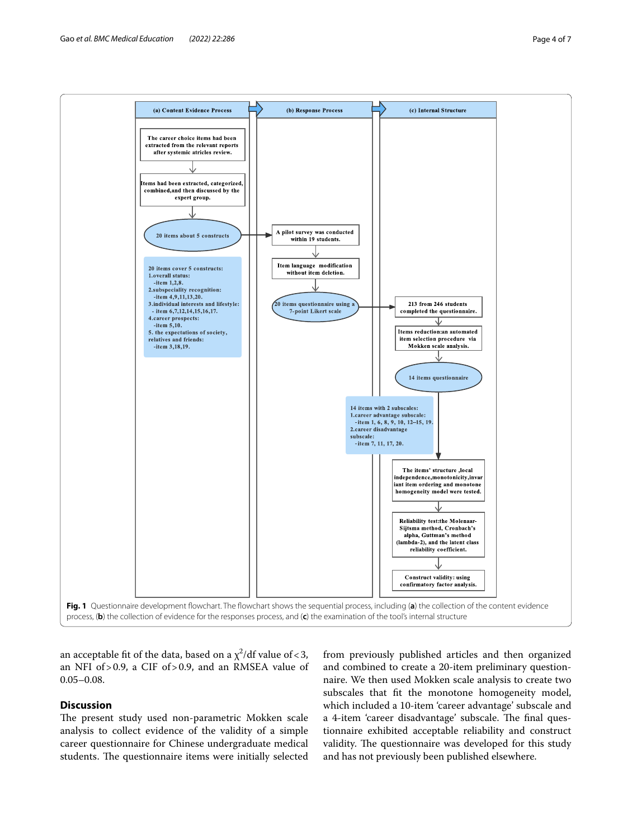

<span id="page-3-0"></span>an acceptable fit of the data, based on a  $\chi^2$ /df value of < 3, an NFI of>0.9, a CIF of>0.9, and an RMSEA value of 0.05–0.08.

## **Discussion**

The present study used non-parametric Mokken scale analysis to collect evidence of the validity of a simple career questionnaire for Chinese undergraduate medical students. The questionnaire items were initially selected

from previously published articles and then organized and combined to create a 20-item preliminary questionnaire. We then used Mokken scale analysis to create two subscales that ft the monotone homogeneity model, which included a 10-item 'career advantage' subscale and a 4-item 'career disadvantage' subscale. The final questionnaire exhibited acceptable reliability and construct validity. The questionnaire was developed for this study and has not previously been published elsewhere.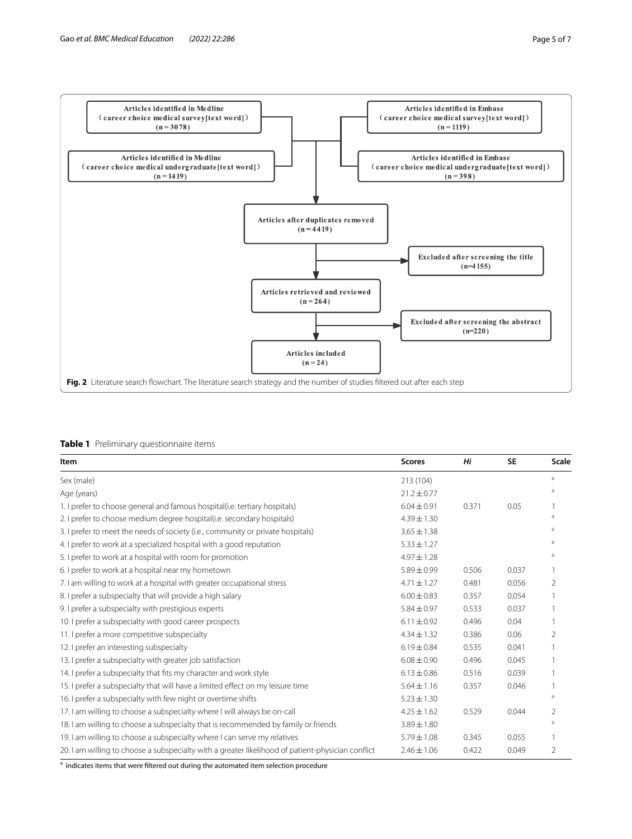

## <span id="page-4-1"></span><span id="page-4-0"></span>**Table 1** Preliminary questionnaire items

| Item                                                                                              | <b>Scores</b>   | Hi    | <b>SE</b> | <b>Scale</b> |
|---------------------------------------------------------------------------------------------------|-----------------|-------|-----------|--------------|
| Sex (male)                                                                                        | 213 (104)       |       |           | a            |
| Age (years)                                                                                       | $21.2 \pm 0.77$ |       |           | a            |
| 1. I prefer to choose general and famous hospital (i.e. tertiary hospitals)                       | $6.04 \pm 0.91$ | 0.371 | 0.05      |              |
| 2. I prefer to choose medium degree hospital(i.e. secondary hospitals)                            | $4.39 \pm 1.30$ |       |           | a            |
| 3. I prefer to meet the needs of society (i.e., community or private hospitals)                   | $3.65 \pm 1.38$ |       |           | a            |
| 4. I prefer to work at a specialized hospital with a good reputation                              | $5.33 \pm 1.27$ |       |           | a            |
| 5. I prefer to work at a hospital with room for promotion                                         | $4.97 \pm 1.28$ |       |           | a            |
| 6. I prefer to work at a hospital near my hometown                                                | $5.89 \pm 0.99$ | 0.506 | 0.037     |              |
| 7. I am willing to work at a hospital with greater occupational stress                            | $4.71 \pm 1.27$ | 0.481 | 0.056     | 2            |
| 8. I prefer a subspecialty that will provide a high salary                                        | $6.00 \pm 0.83$ | 0.357 | 0.054     |              |
| 9. I prefer a subspecialty with prestigious experts                                               | $5.84 \pm 0.97$ | 0.533 | 0.037     |              |
| 10. I prefer a subspecialty with good career prospects                                            | $6.11 \pm 0.92$ | 0.496 | 0.04      |              |
| 11. I prefer a more competitive subspecialty                                                      | $4.34 \pm 1.32$ | 0.386 | 0.06      | 2            |
| 12. I prefer an interesting subspecialty                                                          | $6.19 \pm 0.84$ | 0.535 | 0.041     |              |
| 13. I prefer a subspecialty with greater job satisfaction                                         | $6.08 \pm 0.90$ | 0.496 | 0.045     |              |
| 14. I prefer a subspecialty that fits my character and work style                                 | $6.13 \pm 0.86$ | 0.516 | 0.039     |              |
| 15. I prefer a subspecialty that will have a limited effect on my leisure time                    | $5.64 \pm 1.16$ | 0.357 | 0.046     |              |
| 16. I prefer a subspecialty with few night or overtime shifts                                     | $5.23 \pm 1.30$ |       |           | a            |
| 17. I am willing to choose a subspecialty where I will always be on-call                          | $4.25 \pm 1.62$ | 0.529 | 0.044     | 2            |
| 18. I am willing to choose a subspecialty that is recommended by family or friends                | $3.89 \pm 1.80$ |       |           | a            |
| 19. I am willing to choose a subspecialty where I can serve my relatives                          | $5.79 \pm 1.08$ | 0.345 | 0.055     |              |
| 20. I am willing to choose a subspecialty with a greater likelihood of patient-physician conflict | $2.46 \pm 1.06$ | 0.422 | 0.049     | 2            |

<sup>a</sup> indicates items that were filtered out during the automated item selection procedure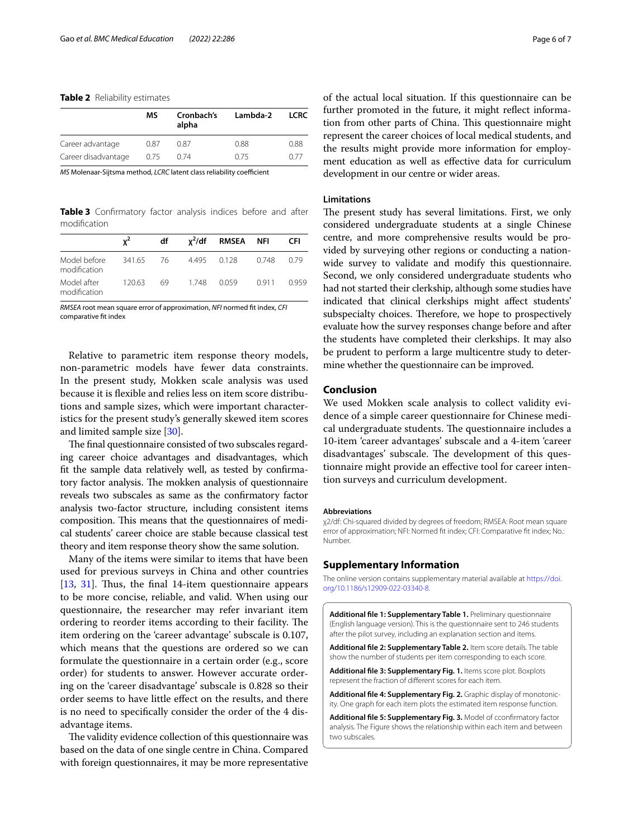#### <span id="page-5-4"></span>**Table 2** Reliability estimates

|                     | МS   | Cronbach's<br>alpha | Lambda-2 | <b>LCRC</b> |
|---------------------|------|---------------------|----------|-------------|
| Career advantage    | 0.87 | 0.87                | 0.88     | 0.88        |
| Career disadvantage | 0.75 | 0.74                | 0.75     | n 77        |

*MS* Molenaar-Sijtsma method, *LCRC* latent class reliability coefficient

<span id="page-5-5"></span>**Table 3** Confrmatory factor analysis indices before and after modifcation

|                              | ${\bf v}^2$ | df |             | x <sup>2</sup> /df RMSEA NFI |       | - CFI |
|------------------------------|-------------|----|-------------|------------------------------|-------|-------|
| Model before<br>modification | 341.65 76   |    | 4.495 0.128 |                              | 0.748 | 0.79  |
| Model after<br>modification  | 120.63      | 69 | 1.748       | 0.059                        | 0.911 | 0.959 |

*RMSEA* root mean square error of approximation, *NFI* normed ft index, *CFI* comparative ft index

Relative to parametric item response theory models, non-parametric models have fewer data constraints. In the present study, Mokken scale analysis was used because it is fexible and relies less on item score distributions and sample sizes, which were important characteristics for the present study's generally skewed item scores and limited sample size [\[30](#page-6-29)].

The final questionnaire consisted of two subscales regarding career choice advantages and disadvantages, which ft the sample data relatively well, as tested by confrmatory factor analysis. The mokken analysis of questionnaire reveals two subscales as same as the confrmatory factor analysis two-factor structure, including consistent items composition. This means that the questionnaires of medical students' career choice are stable because classical test theory and item response theory show the same solution.

Many of the items were similar to items that have been used for previous surveys in China and other countries [[13,](#page-6-12) [31](#page-6-30)]. Thus, the final 14-item questionnaire appears to be more concise, reliable, and valid. When using our questionnaire, the researcher may refer invariant item ordering to reorder items according to their facility. The item ordering on the 'career advantage' subscale is 0.107, which means that the questions are ordered so we can formulate the questionnaire in a certain order (e.g., score order) for students to answer. However accurate ordering on the 'career disadvantage' subscale is 0.828 so their order seems to have little efect on the results, and there is no need to specifcally consider the order of the 4 disadvantage items.

The validity evidence collection of this questionnaire was based on the data of one single centre in China. Compared with foreign questionnaires, it may be more representative of the actual local situation. If this questionnaire can be further promoted in the future, it might refect information from other parts of China. This questionnaire might represent the career choices of local medical students, and the results might provide more information for employment education as well as efective data for curriculum development in our centre or wider areas.

#### **Limitations**

The present study has several limitations. First, we only considered undergraduate students at a single Chinese centre, and more comprehensive results would be provided by surveying other regions or conducting a nationwide survey to validate and modify this questionnaire. Second, we only considered undergraduate students who had not started their clerkship, although some studies have indicated that clinical clerkships might affect students' subspecialty choices. Therefore, we hope to prospectively evaluate how the survey responses change before and after the students have completed their clerkships. It may also be prudent to perform a large multicentre study to determine whether the questionnaire can be improved.

## **Conclusion**

We used Mokken scale analysis to collect validity evidence of a simple career questionnaire for Chinese medical undergraduate students. The questionnaire includes a 10-item 'career advantages' subscale and a 4-item 'career disadvantages' subscale. The development of this questionnaire might provide an efective tool for career intention surveys and curriculum development.

#### **Abbreviations**

χ2/df: Chi-squared divided by degrees of freedom; RMSEA: Root mean square error of approximation; NFI: Normed ft index; CFI: Comparative ft index; No.: Number.

## **Supplementary Information**

The online version contains supplementary material available at [https://doi.](https://doi.org/10.1186/s12909-022-03340-8) [org/10.1186/s12909-022-03340-8](https://doi.org/10.1186/s12909-022-03340-8).

<span id="page-5-0"></span>**Additional fle 1: Supplementary Table 1.** Preliminary questionnaire (English language version). This is the questionnaire sent to 246 students after the pilot survey, including an explanation section and items.

<span id="page-5-2"></span><span id="page-5-1"></span>**Additional fle 2: Supplementary Table 2.** Item score details. The table show the number of students per item corresponding to each score.

<span id="page-5-3"></span>**Additional fle 3: Supplementary Fig. 1.** Items score plot. Boxplots represent the fraction of diferent scores for each item.

<span id="page-5-6"></span>**Additional fle 4: Supplementary Fig. 2.** Graphic display of monotonicity. One graph for each item plots the estimated item response function.

**Additional fle 5: Supplementary Fig. 3.** Model of cconfrmatory factor analysis. The Figure shows the relationship within each item and between two subscales.